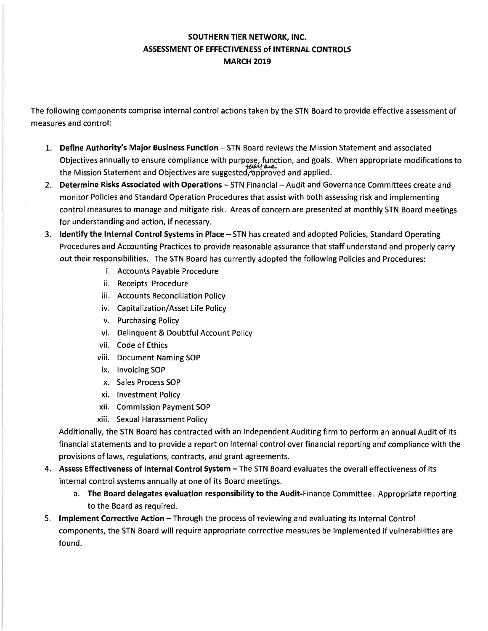## SOUTHERN TIER NETWORK, INC. ASSESSMENT OF EFFECTIVENESS of INTERNAL CONTROLS MARCH 2019

The following components comprise internal control actions taken by the STN Board to provide effective assessment of measures and control:

- 1. Define Authority's Major Business Function STN Board reviews the Mission Statement and associated Objectives annually to ensure compliance with purpose, function, and goals. When appropriate modifications to the Mission Statement and Objectives are suggested-approved and applied.
- 2. Determine Risks Associated with Operations STN Financial Audit and Governance Committees create and monitor Policies and Standard Operation Procedures that assist with both assessing risk and implementing control measures to manage and mitigate risk. Areas of concern are presented at monthly STN Board meetings for understanding and action, if necessary.
- 3. Identify the Internal Control Systems in Place STN has created and adopted Policies, Standard Operating Procedures and Accounting Practices to provide reasonable assurance that staff understand and properly carry out their responsibilities. The STN Board has currently adopted the following Policies and Procedures:
	- i. Accounts Payable Procedure
	- ii. Receipts Procedure
	- iii. Accounts Reconciliation Policy
	- iv. Capitalization/Asset Life Policy
	- v. Purchasing Policy
	- vi. Delinquent & Doubtful Account Policy
	- vii. Code of Ethics
	- viii. Document Naming SOP
	- ix. Invoicing SOP
	- x. Sales Process SOP
	- xi. Investment Policy
	- xii. Commission Payment SOP
	- xiii. Sexual Harassment Policy

Additionally, the STN Board has contracted with an Independent Auditing firm to perform an annual Audit of its financial statements and to provide a report on internal control over financial reporting and compliance with the provisions of laws, regulations, contracts, and grant agreements.

- 4. Assess Effectiveness of Internal Control System The STN Board evaluates the overall effectiveness of its internal control systems annually at one of its Board meetings.
	- a. The Board delegates evaluation responsibility to the Audit-Finance Committee. Appropriate reporting to the Board as required.
- 5. Implement Corrective Action Through the process of reviewing and evaluating its Internal Control components, the STN Board will require appropriate corrective measures be implemented if vulnerabilities are found.